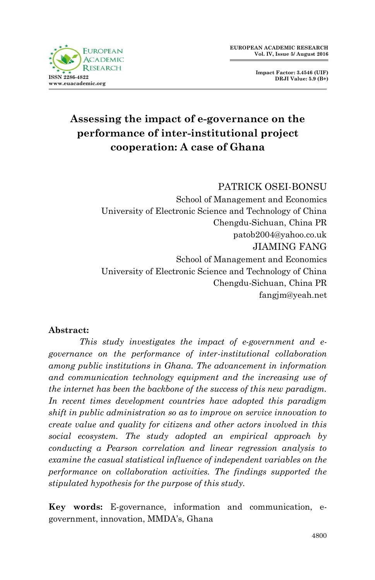

**Impact Factor: 3.4546 (UIF) DRJI Value: 5.9 (B+)**

# **Assessing the impact of e-governance on the performance of inter-institutional project cooperation: A case of Ghana**

#### PATRICK OSEI-BONSU

School of Management and Economics University of Electronic Science and Technology of China Chengdu-Sichuan, China PR patob2004@yahoo.co.uk JIAMING FANG School of Management and Economics University of Electronic Science and Technology of China Chengdu-Sichuan, China PR fangjm@yeah.net

#### **Abstract:**

 *This study investigates the impact of e-government and egovernance on the performance of inter-institutional collaboration among public institutions in Ghana. The advancement in information and communication technology equipment and the increasing use of the internet has been the backbone of the success of this new paradigm. In recent times development countries have adopted this paradigm shift in public administration so as to improve on service innovation to create value and quality for citizens and other actors involved in this social ecosystem. The study adopted an empirical approach by conducting a Pearson correlation and linear regression analysis to examine the casual statistical influence of independent variables on the performance on collaboration activities. The findings supported the stipulated hypothesis for the purpose of this study.*

**Key words:** E-governance, information and communication, egovernment, innovation, MMDA's, Ghana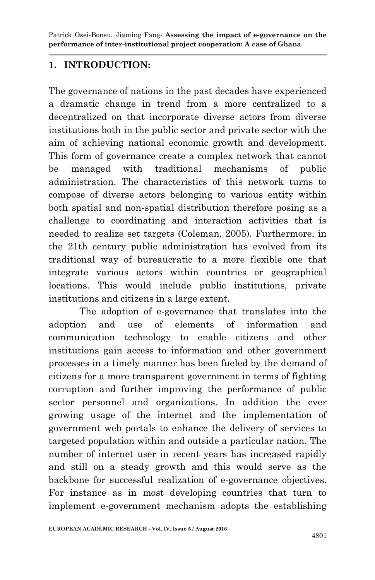#### **1. INTRODUCTION:**

The governance of nations in the past decades have experienced a dramatic change in trend from a more centralized to a decentralized on that incorporate diverse actors from diverse institutions both in the public sector and private sector with the aim of achieving national economic growth and development. This form of governance create a complex network that cannot be managed with traditional mechanisms of public administration. The characteristics of this network turns to compose of diverse actors belonging to various entity within both spatial and non-spatial distribution therefore posing as a challenge to coordinating and interaction activities that is needed to realize set targets (Coleman, 2005). Furthermore, in the 21th century public administration has evolved from its traditional way of bureaucratic to a more flexible one that integrate various actors within countries or geographical locations. This would include public institutions, private institutions and citizens in a large extent.

The adoption of e-governance that translates into the adoption and use of elements of information and communication technology to enable citizens and other institutions gain access to information and other government processes in a timely manner has been fueled by the demand of citizens for a more transparent government in terms of fighting corruption and further improving the performance of public sector personnel and organizations. In addition the ever growing usage of the internet and the implementation of government web portals to enhance the delivery of services to targeted population within and outside a particular nation. The number of internet user in recent years has increased rapidly and still on a steady growth and this would serve as the backbone for successful realization of e-governance objectives. For instance as in most developing countries that turn to implement e-government mechanism adopts the establishing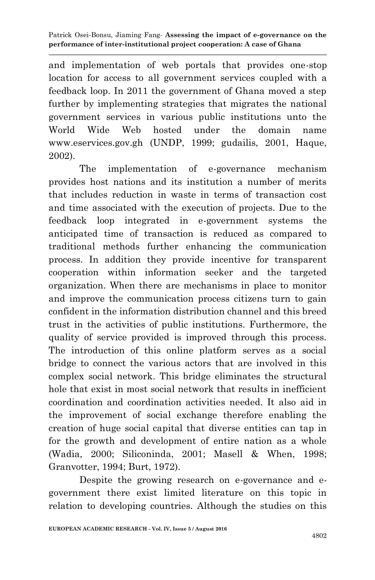and implementation of web portals that provides one-stop location for access to all government services coupled with a feedback loop. In 2011 the government of Ghana moved a step further by implementing strategies that migrates the national government services in various public institutions unto the World Wide Web hosted under the domain name www.eservices.gov.gh (UNDP, 1999; gudailis, 2001, Haque, 2002).

The implementation of e-governance mechanism provides host nations and its institution a number of merits that includes reduction in waste in terms of transaction cost and time associated with the execution of projects. Due to the feedback loop integrated in e-government systems the anticipated time of transaction is reduced as compared to traditional methods further enhancing the communication process. In addition they provide incentive for transparent cooperation within information seeker and the targeted organization. When there are mechanisms in place to monitor and improve the communication process citizens turn to gain confident in the information distribution channel and this breed trust in the activities of public institutions. Furthermore, the quality of service provided is improved through this process. The introduction of this online platform serves as a social bridge to connect the various actors that are involved in this complex social network. This bridge eliminates the structural hole that exist in most social network that results in inefficient coordination and coordination activities needed. It also aid in the improvement of social exchange therefore enabling the creation of huge social capital that diverse entities can tap in for the growth and development of entire nation as a whole (Wadia, 2000; Siliconinda, 2001; Masell & When, 1998; Granvotter, 1994; Burt, 1972).

Despite the growing research on e-governance and egovernment there exist limited literature on this topic in relation to developing countries. Although the studies on this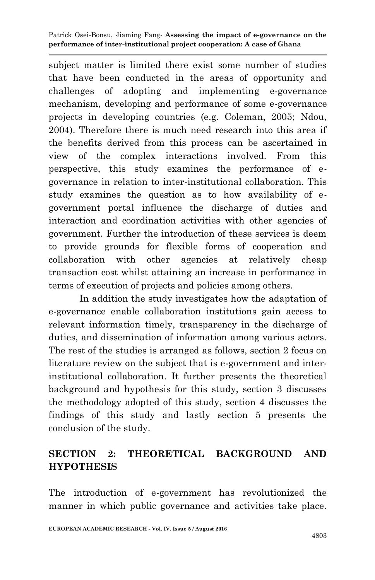subject matter is limited there exist some number of studies that have been conducted in the areas of opportunity and challenges of adopting and implementing e-governance mechanism, developing and performance of some e-governance projects in developing countries (e.g. Coleman, 2005; Ndou, 2004). Therefore there is much need research into this area if the benefits derived from this process can be ascertained in view of the complex interactions involved. From this perspective, this study examines the performance of egovernance in relation to inter-institutional collaboration. This study examines the question as to how availability of egovernment portal influence the discharge of duties and interaction and coordination activities with other agencies of government. Further the introduction of these services is deem to provide grounds for flexible forms of cooperation and collaboration with other agencies at relatively cheap transaction cost whilst attaining an increase in performance in terms of execution of projects and policies among others.

In addition the study investigates how the adaptation of e-governance enable collaboration institutions gain access to relevant information timely, transparency in the discharge of duties, and dissemination of information among various actors. The rest of the studies is arranged as follows, section 2 focus on literature review on the subject that is e-government and interinstitutional collaboration. It further presents the theoretical background and hypothesis for this study, section 3 discusses the methodology adopted of this study, section 4 discusses the findings of this study and lastly section 5 presents the conclusion of the study.

## **SECTION 2: THEORETICAL BACKGROUND AND HYPOTHESIS**

The introduction of e-government has revolutionized the manner in which public governance and activities take place.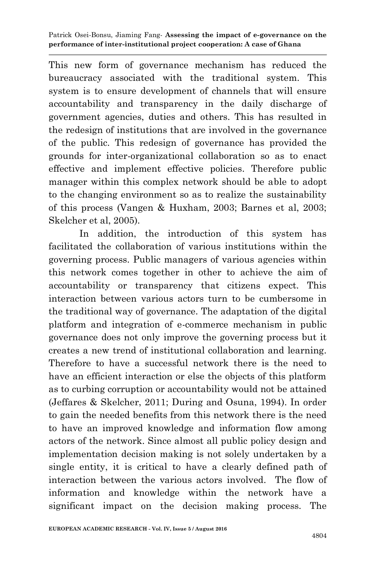This new form of governance mechanism has reduced the bureaucracy associated with the traditional system. This system is to ensure development of channels that will ensure accountability and transparency in the daily discharge of government agencies, duties and others. This has resulted in the redesign of institutions that are involved in the governance of the public. This redesign of governance has provided the grounds for inter-organizational collaboration so as to enact effective and implement effective policies. Therefore public manager within this complex network should be able to adopt to the changing environment so as to realize the sustainability of this process (Vangen & Huxham, 2003; Barnes et al, 2003; Skelcher et al, 2005).

In addition, the introduction of this system has facilitated the collaboration of various institutions within the governing process. Public managers of various agencies within this network comes together in other to achieve the aim of accountability or transparency that citizens expect. This interaction between various actors turn to be cumbersome in the traditional way of governance. The adaptation of the digital platform and integration of e-commerce mechanism in public governance does not only improve the governing process but it creates a new trend of institutional collaboration and learning. Therefore to have a successful network there is the need to have an efficient interaction or else the objects of this platform as to curbing corruption or accountability would not be attained (Jeffares & Skelcher, 2011; During and Osuna, 1994). In order to gain the needed benefits from this network there is the need to have an improved knowledge and information flow among actors of the network. Since almost all public policy design and implementation decision making is not solely undertaken by a single entity, it is critical to have a clearly defined path of interaction between the various actors involved. The flow of information and knowledge within the network have a significant impact on the decision making process. The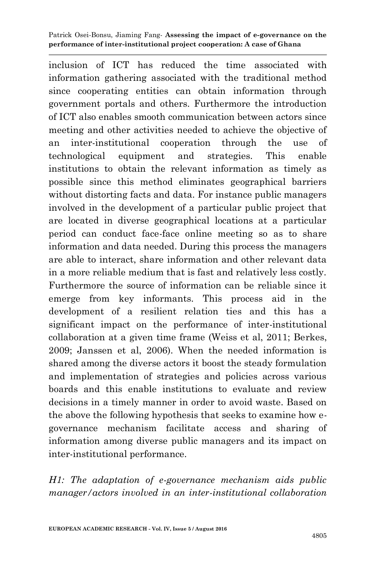inclusion of ICT has reduced the time associated with information gathering associated with the traditional method since cooperating entities can obtain information through government portals and others. Furthermore the introduction of ICT also enables smooth communication between actors since meeting and other activities needed to achieve the objective of an inter-institutional cooperation through the use of technological equipment and strategies. This enable institutions to obtain the relevant information as timely as possible since this method eliminates geographical barriers without distorting facts and data. For instance public managers involved in the development of a particular public project that are located in diverse geographical locations at a particular period can conduct face-face online meeting so as to share information and data needed. During this process the managers are able to interact, share information and other relevant data in a more reliable medium that is fast and relatively less costly. Furthermore the source of information can be reliable since it emerge from key informants. This process aid in the development of a resilient relation ties and this has a significant impact on the performance of inter-institutional collaboration at a given time frame (Weiss et al, 2011; Berkes, 2009; Janssen et al, 2006). When the needed information is shared among the diverse actors it boost the steady formulation and implementation of strategies and policies across various boards and this enable institutions to evaluate and review decisions in a timely manner in order to avoid waste. Based on the above the following hypothesis that seeks to examine how egovernance mechanism facilitate access and sharing of information among diverse public managers and its impact on inter-institutional performance.

*H1: The adaptation of e-governance mechanism aids public manager/actors involved in an inter-institutional collaboration*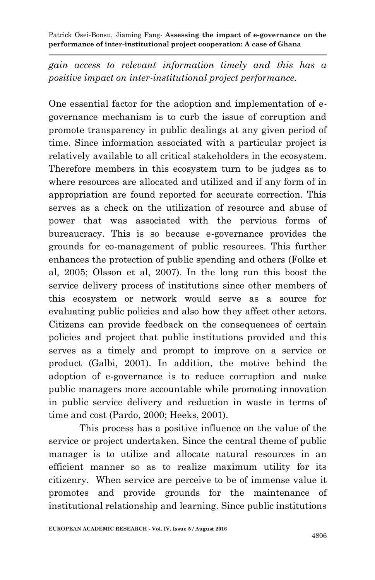*gain access to relevant information timely and this has a positive impact on inter-institutional project performance.*

One essential factor for the adoption and implementation of egovernance mechanism is to curb the issue of corruption and promote transparency in public dealings at any given period of time. Since information associated with a particular project is relatively available to all critical stakeholders in the ecosystem. Therefore members in this ecosystem turn to be judges as to where resources are allocated and utilized and if any form of in appropriation are found reported for accurate correction. This serves as a check on the utilization of resource and abuse of power that was associated with the pervious forms of bureaucracy. This is so because e-governance provides the grounds for co-management of public resources. This further enhances the protection of public spending and others (Folke et al, 2005; Olsson et al, 2007). In the long run this boost the service delivery process of institutions since other members of this ecosystem or network would serve as a source for evaluating public policies and also how they affect other actors. Citizens can provide feedback on the consequences of certain policies and project that public institutions provided and this serves as a timely and prompt to improve on a service or product (Galbi, 2001). In addition, the motive behind the adoption of e-governance is to reduce corruption and make public managers more accountable while promoting innovation in public service delivery and reduction in waste in terms of time and cost (Pardo, 2000; Heeks, 2001).

This process has a positive influence on the value of the service or project undertaken. Since the central theme of public manager is to utilize and allocate natural resources in an efficient manner so as to realize maximum utility for its citizenry. When service are perceive to be of immense value it promotes and provide grounds for the maintenance of institutional relationship and learning. Since public institutions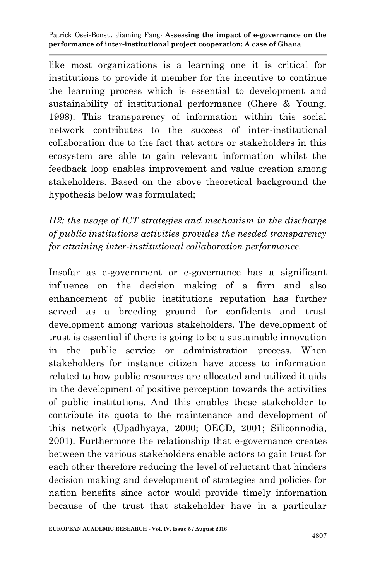like most organizations is a learning one it is critical for institutions to provide it member for the incentive to continue the learning process which is essential to development and sustainability of institutional performance (Ghere & Young, 1998). This transparency of information within this social network contributes to the success of inter-institutional collaboration due to the fact that actors or stakeholders in this ecosystem are able to gain relevant information whilst the feedback loop enables improvement and value creation among stakeholders. Based on the above theoretical background the hypothesis below was formulated;

*H2: the usage of ICT strategies and mechanism in the discharge of public institutions activities provides the needed transparency for attaining inter-institutional collaboration performance.*

Insofar as e-government or e-governance has a significant influence on the decision making of a firm and also enhancement of public institutions reputation has further served as a breeding ground for confidents and trust development among various stakeholders. The development of trust is essential if there is going to be a sustainable innovation in the public service or administration process. When stakeholders for instance citizen have access to information related to how public resources are allocated and utilized it aids in the development of positive perception towards the activities of public institutions. And this enables these stakeholder to contribute its quota to the maintenance and development of this network (Upadhyaya, 2000; OECD, 2001; Siliconnodia, 2001). Furthermore the relationship that e-governance creates between the various stakeholders enable actors to gain trust for each other therefore reducing the level of reluctant that hinders decision making and development of strategies and policies for nation benefits since actor would provide timely information because of the trust that stakeholder have in a particular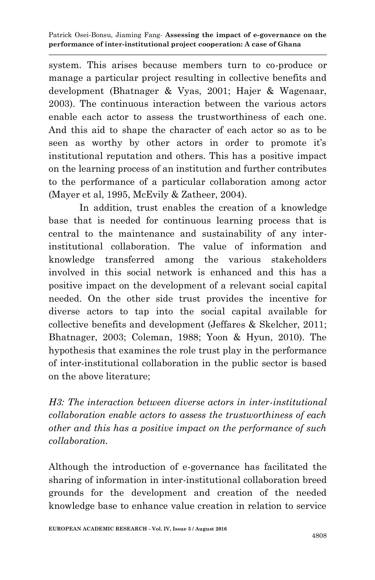system. This arises because members turn to co-produce or manage a particular project resulting in collective benefits and development (Bhatnager & Vyas, 2001; Hajer & Wagenaar, 2003). The continuous interaction between the various actors enable each actor to assess the trustworthiness of each one. And this aid to shape the character of each actor so as to be seen as worthy by other actors in order to promote it's institutional reputation and others. This has a positive impact on the learning process of an institution and further contributes to the performance of a particular collaboration among actor (Mayer et al, 1995, McEvily & Zatheer, 2004).

In addition, trust enables the creation of a knowledge base that is needed for continuous learning process that is central to the maintenance and sustainability of any interinstitutional collaboration. The value of information and knowledge transferred among the various stakeholders involved in this social network is enhanced and this has a positive impact on the development of a relevant social capital needed. On the other side trust provides the incentive for diverse actors to tap into the social capital available for collective benefits and development (Jeffares & Skelcher, 2011; Bhatnager, 2003; Coleman, 1988; Yoon & Hyun, 2010). The hypothesis that examines the role trust play in the performance of inter-institutional collaboration in the public sector is based on the above literature;

*H3: The interaction between diverse actors in inter-institutional collaboration enable actors to assess the trustworthiness of each other and this has a positive impact on the performance of such collaboration.*

Although the introduction of e-governance has facilitated the sharing of information in inter-institutional collaboration breed grounds for the development and creation of the needed knowledge base to enhance value creation in relation to service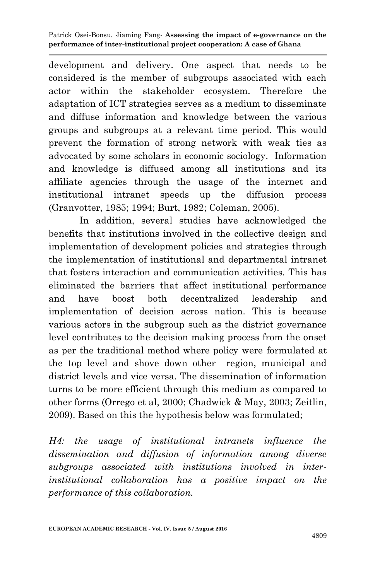development and delivery. One aspect that needs to be considered is the member of subgroups associated with each actor within the stakeholder ecosystem. Therefore the adaptation of ICT strategies serves as a medium to disseminate and diffuse information and knowledge between the various groups and subgroups at a relevant time period. This would prevent the formation of strong network with weak ties as advocated by some scholars in economic sociology. Information and knowledge is diffused among all institutions and its affiliate agencies through the usage of the internet and institutional intranet speeds up the diffusion process (Granvotter, 1985; 1994; Burt, 1982; Coleman, 2005).

In addition, several studies have acknowledged the benefits that institutions involved in the collective design and implementation of development policies and strategies through the implementation of institutional and departmental intranet that fosters interaction and communication activities. This has eliminated the barriers that affect institutional performance and have boost both decentralized leadership and implementation of decision across nation. This is because various actors in the subgroup such as the district governance level contributes to the decision making process from the onset as per the traditional method where policy were formulated at the top level and shove down other region, municipal and district levels and vice versa. The dissemination of information turns to be more efficient through this medium as compared to other forms (Orrego et al, 2000; Chadwick & May, 2003; Zeitlin, 2009). Based on this the hypothesis below was formulated;

*H4: the usage of institutional intranets influence the dissemination and diffusion of information among diverse subgroups associated with institutions involved in interinstitutional collaboration has a positive impact on the performance of this collaboration.*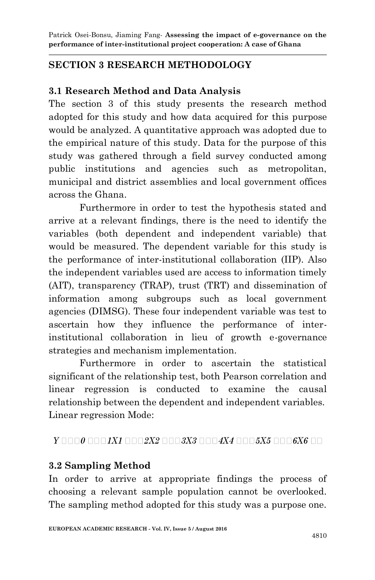### **SECTION 3 RESEARCH METHODOLOGY**

#### **3.1 Research Method and Data Analysis**

The section 3 of this study presents the research method adopted for this study and how data acquired for this purpose would be analyzed. A quantitative approach was adopted due to the empirical nature of this study. Data for the purpose of this study was gathered through a field survey conducted among public institutions and agencies such as metropolitan, municipal and district assemblies and local government offices across the Ghana.

Furthermore in order to test the hypothesis stated and arrive at a relevant findings, there is the need to identify the variables (both dependent and independent variable) that would be measured. The dependent variable for this study is the performance of inter-institutional collaboration (IIP). Also the independent variables used are access to information timely (AIT), transparency (TRAP), trust (TRT) and dissemination of information among subgroups such as local government agencies (DIMSG). These four independent variable was test to ascertain how they influence the performance of interinstitutional collaboration in lieu of growth e-governance strategies and mechanism implementation.

Furthermore in order to ascertain the statistical significant of the relationship test, both Pearson correlation and linear regression is conducted to examine the causal relationship between the dependent and independent variables. Linear regression Mode:

#### $Y \Box \Box 0 \Box \Box 1 X1 \Box \Box \Box 2 X2 \Box \Box \Box 3 X3 \Box \Box \Box 4 X4 \Box \Box \Box 5 X5 \Box \Box \Box 6 X6 \Box \Box$

#### **3.2 Sampling Method**

In order to arrive at appropriate findings the process of choosing a relevant sample population cannot be overlooked. The sampling method adopted for this study was a purpose one.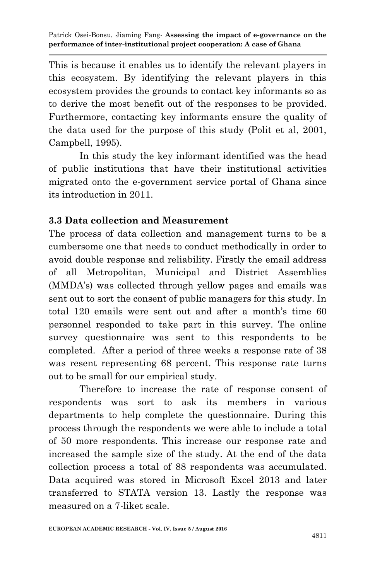This is because it enables us to identify the relevant players in this ecosystem. By identifying the relevant players in this ecosystem provides the grounds to contact key informants so as to derive the most benefit out of the responses to be provided. Furthermore, contacting key informants ensure the quality of the data used for the purpose of this study (Polit et al, 2001, Campbell, 1995).

In this study the key informant identified was the head of public institutions that have their institutional activities migrated onto the e-government service portal of Ghana since its introduction in 2011.

#### **3.3 Data collection and Measurement**

The process of data collection and management turns to be a cumbersome one that needs to conduct methodically in order to avoid double response and reliability. Firstly the email address of all Metropolitan, Municipal and District Assemblies (MMDA's) was collected through yellow pages and emails was sent out to sort the consent of public managers for this study. In total 120 emails were sent out and after a month's time 60 personnel responded to take part in this survey. The online survey questionnaire was sent to this respondents to be completed. After a period of three weeks a response rate of 38 was resent representing 68 percent. This response rate turns out to be small for our empirical study.

Therefore to increase the rate of response consent of respondents was sort to ask its members in various departments to help complete the questionnaire. During this process through the respondents we were able to include a total of 50 more respondents. This increase our response rate and increased the sample size of the study. At the end of the data collection process a total of 88 respondents was accumulated. Data acquired was stored in Microsoft Excel 2013 and later transferred to STATA version 13. Lastly the response was measured on a 7-liket scale.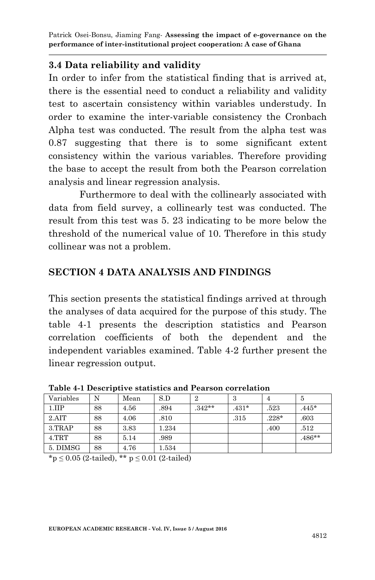#### **3.4 Data reliability and validity**

In order to infer from the statistical finding that is arrived at, there is the essential need to conduct a reliability and validity test to ascertain consistency within variables understudy. In order to examine the inter-variable consistency the Cronbach Alpha test was conducted. The result from the alpha test was 0.87 suggesting that there is to some significant extent consistency within the various variables. Therefore providing the base to accept the result from both the Pearson correlation analysis and linear regression analysis.

Furthermore to deal with the collinearly associated with data from field survey, a collinearly test was conducted. The result from this test was 5. 23 indicating to be more below the threshold of the numerical value of 10. Therefore in this study collinear was not a problem.

### **SECTION 4 DATA ANALYSIS AND FINDINGS**

This section presents the statistical findings arrived at through the analyses of data acquired for the purpose of this study. The table 4-1 presents the description statistics and Pearson correlation coefficients of both the dependent and the independent variables examined. Table 4-2 further present the linear regression output.

| Variables | N  | Mean | S.D   | 2        | 3       | 4       | 5        |  |  |
|-----------|----|------|-------|----------|---------|---------|----------|--|--|
| 1.IIP     | 88 | 4.56 | .894  | $.342**$ | $.431*$ | .523    | $.445*$  |  |  |
| 2. AIT    | 88 | 4.06 | .810  |          | .315    | $.228*$ | .603     |  |  |
| 3.TRAP    | 88 | 3.83 | 1.234 |          |         | .400    | .512     |  |  |
| 4. TRT    | 88 | 5.14 | .989  |          |         |         | $.486**$ |  |  |
| 5. DIMSG  | 88 | 4.76 | 1.534 |          |         |         |          |  |  |

**Table 4-1 Descriptive statistics and Pearson correlation** 

 $*_p \leq 0.05$  (2-tailed),  $**$   $p \leq 0.01$  (2-tailed)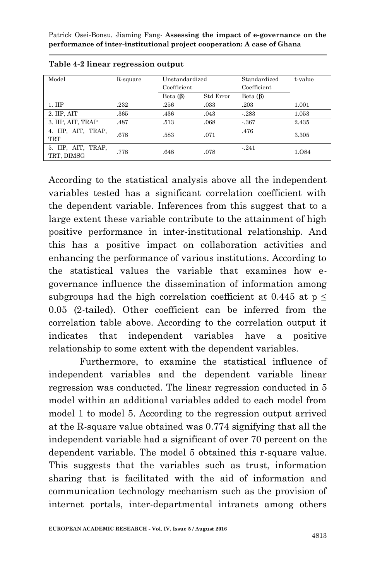| Model                            | R-square | Unstandardized<br>Coefficient |           | Standardized<br>Coefficient | t-value |
|----------------------------------|----------|-------------------------------|-----------|-----------------------------|---------|
|                                  |          | Beta $(\beta)$                | Std Error | Beta $(\beta)$              |         |
| $1.$ IIP                         | .232     | .256                          | .033      | .203                        | 1.001   |
| 2. IIP, AIT                      | .365     | .436                          | .043      | $-283$                      | 1.053   |
| 3. IIP, AIT, TRAP                | .487     | .513                          | .068      | $-.367$                     | 2.435   |
| 4. IIP, AIT, TRAP,<br>TRT        | .678     | .583                          | .071      | .476                        | 3.305   |
| 5. IIP, AIT, TRAP,<br>TRT, DIMSG | .778     | .648                          | .078      | $-.241$                     | 1.084   |

According to the statistical analysis above all the independent variables tested has a significant correlation coefficient with the dependent variable. Inferences from this suggest that to a large extent these variable contribute to the attainment of high positive performance in inter-institutional relationship. And this has a positive impact on collaboration activities and enhancing the performance of various institutions. According to the statistical values the variable that examines how egovernance influence the dissemination of information among subgroups had the high correlation coefficient at 0.445 at  $p \leq$ 0.05 (2-tailed). Other coefficient can be inferred from the correlation table above. According to the correlation output it indicates that independent variables have a positive relationship to some extent with the dependent variables.

Furthermore, to examine the statistical influence of independent variables and the dependent variable linear regression was conducted. The linear regression conducted in 5 model within an additional variables added to each model from model 1 to model 5. According to the regression output arrived at the R-square value obtained was 0.774 signifying that all the independent variable had a significant of over 70 percent on the dependent variable. The model 5 obtained this r-square value. This suggests that the variables such as trust, information sharing that is facilitated with the aid of information and communication technology mechanism such as the provision of internet portals, inter-departmental intranets among others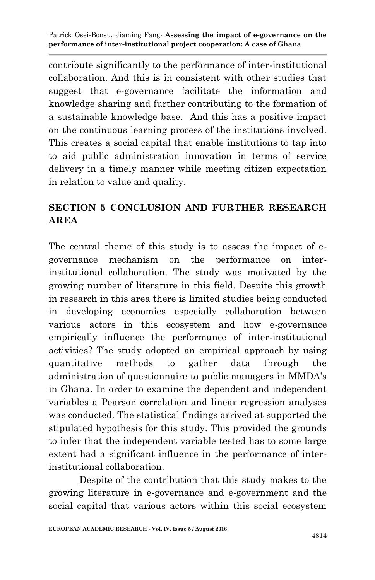contribute significantly to the performance of inter-institutional collaboration. And this is in consistent with other studies that suggest that e-governance facilitate the information and knowledge sharing and further contributing to the formation of a sustainable knowledge base. And this has a positive impact on the continuous learning process of the institutions involved. This creates a social capital that enable institutions to tap into to aid public administration innovation in terms of service delivery in a timely manner while meeting citizen expectation in relation to value and quality.

### **SECTION 5 CONCLUSION AND FURTHER RESEARCH AREA**

The central theme of this study is to assess the impact of egovernance mechanism on the performance on interinstitutional collaboration. The study was motivated by the growing number of literature in this field. Despite this growth in research in this area there is limited studies being conducted in developing economies especially collaboration between various actors in this ecosystem and how e-governance empirically influence the performance of inter-institutional activities? The study adopted an empirical approach by using quantitative methods to gather data through the administration of questionnaire to public managers in MMDA's in Ghana. In order to examine the dependent and independent variables a Pearson correlation and linear regression analyses was conducted. The statistical findings arrived at supported the stipulated hypothesis for this study. This provided the grounds to infer that the independent variable tested has to some large extent had a significant influence in the performance of interinstitutional collaboration.

Despite of the contribution that this study makes to the growing literature in e-governance and e-government and the social capital that various actors within this social ecosystem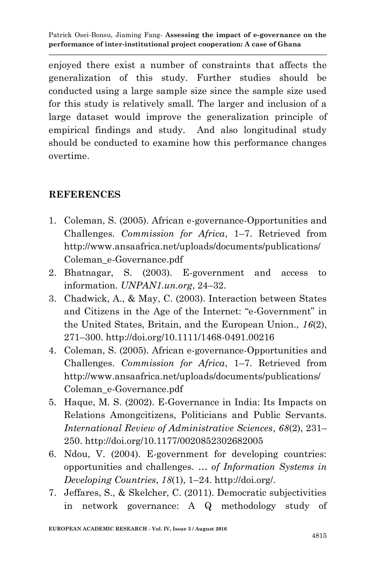enjoyed there exist a number of constraints that affects the generalization of this study. Further studies should be conducted using a large sample size since the sample size used for this study is relatively small. The larger and inclusion of a large dataset would improve the generalization principle of empirical findings and study. And also longitudinal study should be conducted to examine how this performance changes overtime.

#### **REFERENCES**

- 1. Coleman, S. (2005). African e-governance-Opportunities and Challenges. *Commission for Africa*, 1–7. Retrieved from http://www.ansaafrica.net/uploads/documents/publications/ Coleman\_e-Governance.pdf
- 2. Bhatnagar, S. (2003). E-government and access to information. *UNPAN1.un.org*, 24–32.
- 3. Chadwick, A., & May, C. (2003). Interaction between States and Citizens in the Age of the Internet: "e-Government" in the United States, Britain, and the European Union., *16*(2), 271–300. http://doi.org/10.1111/1468-0491.00216
- 4. Coleman, S. (2005). African e-governance-Opportunities and Challenges. *Commission for Africa*, 1–7. Retrieved from http://www.ansaafrica.net/uploads/documents/publications/ Coleman\_e-Governance.pdf
- 5. Haque, M. S. (2002). E-Governance in India: Its Impacts on Relations Amongcitizens, Politicians and Public Servants. *International Review of Administrative Sciences*, *68*(2), 231– 250. http://doi.org/10.1177/0020852302682005
- 6. Ndou, V. (2004). E-government for developing countries: opportunities and challenges. *… of Information Systems in Developing Countries*, *18*(1), 1–24. http://doi.org/.
- 7. Jeffares, S., & Skelcher, C. (2011). Democratic subjectivities in network governance: A Q methodology study of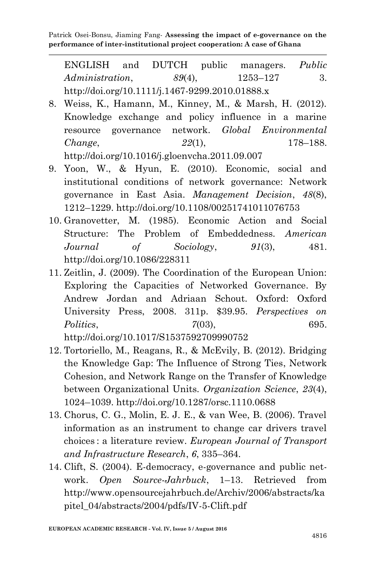ENGLISH and DUTCH public managers. *Public Administration. 89(4)*, 1253–127 3. http://doi.org/10.1111/j.1467-9299.2010.01888.x

- 8. Weiss, K., Hamann, M., Kinney, M., & Marsh, H. (2012). Knowledge exchange and policy influence in a marine resource governance network. *Global Environmental Change*, *22*(1), 178–188. http://doi.org/10.1016/j.gloenvcha.2011.09.007
- 9. Yoon, W., & Hyun, E. (2010). Economic, social and institutional conditions of network governance: Network governance in East Asia. *Management Decision*, *48*(8), 1212–1229. http://doi.org/10.1108/00251741011076753
- 10. Granovetter, M. (1985). Economic Action and Social Structure: The Problem of Embeddedness. *American Journal of Sociology*, *91*(3), 481. http://doi.org/10.1086/228311
- 11. Zeitlin, J. (2009). The Coordination of the European Union: Exploring the Capacities of Networked Governance. By Andrew Jordan and Adriaan Schout. Oxford: Oxford University Press, 2008. 311p. \$39.95. *Perspectives on Politics*, *7*(03), 695. http://doi.org/10.1017/S1537592709990752
- 12. Tortoriello, M., Reagans, R., & McEvily, B. (2012). Bridging the Knowledge Gap: The Influence of Strong Ties, Network Cohesion, and Network Range on the Transfer of Knowledge between Organizational Units. *Organization Science*, *23*(4), 1024–1039. http://doi.org/10.1287/orsc.1110.0688
- 13. Chorus, C. G., Molin, E. J. E., & van Wee, B. (2006). Travel information as an instrument to change car drivers travel choices : a literature review. *European Journal of Transport and Infrastructure Research*, *6*, 335–364.
- 14. Clift, S. (2004). E-democracy, e-governance and public network. *Open Source-Jahrbuck*, 1–13. Retrieved from http://www.opensourcejahrbuch.de/Archiv/2006/abstracts/ka pitel\_04/abstracts/2004/pdfs/IV-5-Clift.pdf